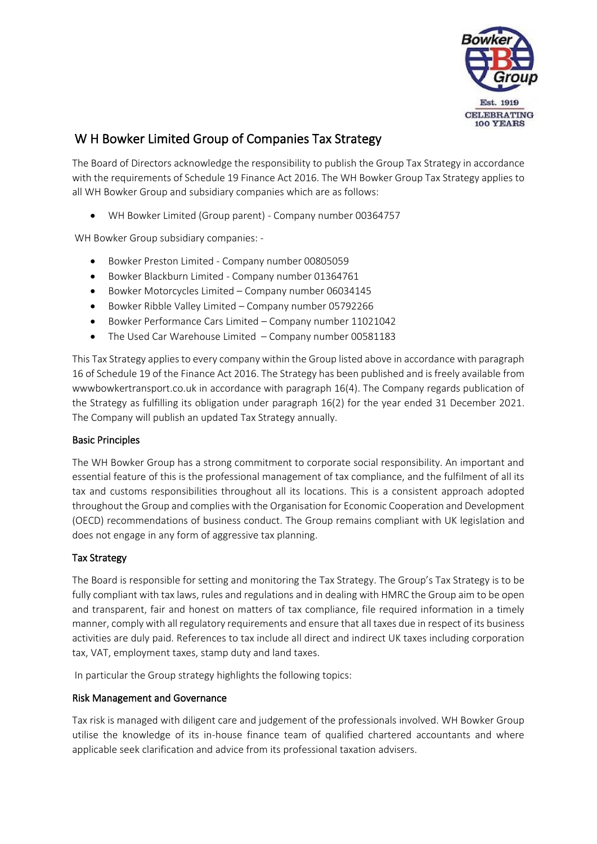

# W H Bowker Limited Group of Companies Tax Strategy

The Board of Directors acknowledge the responsibility to publish the Group Tax Strategy in accordance with the requirements of Schedule 19 Finance Act 2016. The WH Bowker Group Tax Strategy applies to all WH Bowker Group and subsidiary companies which are as follows:

• WH Bowker Limited (Group parent) - Company number 00364757

WH Bowker Group subsidiary companies: -

- Bowker Preston Limited Company number 00805059
- Bowker Blackburn Limited Company number 01364761
- Bowker Motorcycles Limited Company number 06034145
- Bowker Ribble Valley Limited Company number 05792266
- Bowker Performance Cars Limited Company number 11021042
- The Used Car Warehouse Limited Company number 00581183

This Tax Strategy applies to every company within the Group listed above in accordance with paragraph 16 of Schedule 19 of the Finance Act 2016. The Strategy has been published and is freely available from wwwbowkertransport.co.uk in accordance with paragraph 16(4). The Company regards publication of the Strategy as fulfilling its obligation under paragraph 16(2) for the year ended 31 December 2021. The Company will publish an updated Tax Strategy annually.

## Basic Principles

The WH Bowker Group has a strong commitment to corporate social responsibility. An important and essential feature of this is the professional management of tax compliance, and the fulfilment of all its tax and customs responsibilities throughout all its locations. This is a consistent approach adopted throughout the Group and complies with the Organisation for Economic Cooperation and Development (OECD) recommendations of business conduct. The Group remains compliant with UK legislation and does not engage in any form of aggressive tax planning.

## Tax Strategy

The Board is responsible for setting and monitoring the Tax Strategy. The Group's Tax Strategy is to be fully compliant with tax laws, rules and regulations and in dealing with HMRC the Group aim to be open and transparent, fair and honest on matters of tax compliance, file required information in a timely manner, comply with all regulatory requirements and ensure that all taxes due in respect of its business activities are duly paid. References to tax include all direct and indirect UK taxes including corporation tax, VAT, employment taxes, stamp duty and land taxes.

In particular the Group strategy highlights the following topics:

## Risk Management and Governance

Tax risk is managed with diligent care and judgement of the professionals involved. WH Bowker Group utilise the knowledge of its in-house finance team of qualified chartered accountants and where applicable seek clarification and advice from its professional taxation advisers.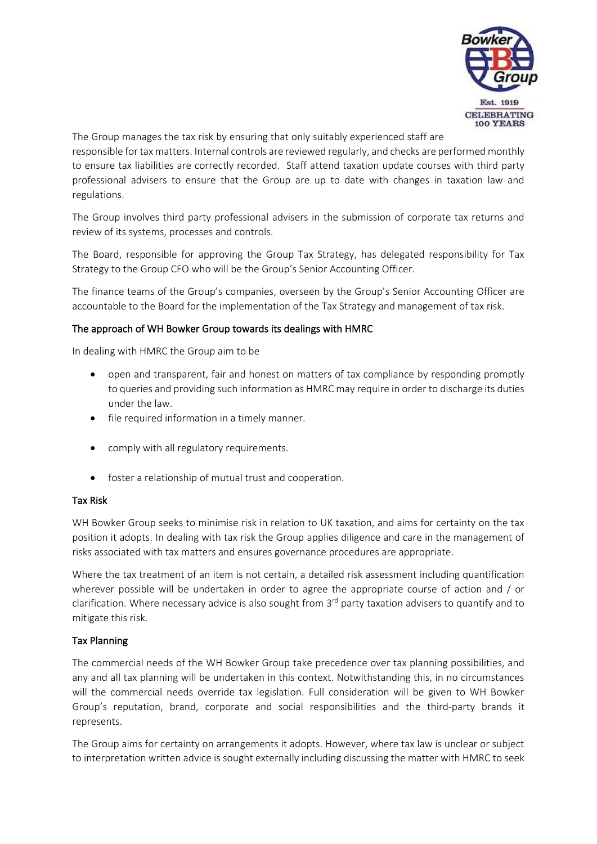

The Group manages the tax risk by ensuring that only suitably experienced staff are

responsible for tax matters. Internal controls are reviewed regularly, and checks are performed monthly to ensure tax liabilities are correctly recorded. Staff attend taxation update courses with third party professional advisers to ensure that the Group are up to date with changes in taxation law and regulations.

The Group involves third party professional advisers in the submission of corporate tax returns and review of its systems, processes and controls.

The Board, responsible for approving the Group Tax Strategy, has delegated responsibility for Tax Strategy to the Group CFO who will be the Group's Senior Accounting Officer.

The finance teams of the Group's companies, overseen by the Group's Senior Accounting Officer are accountable to the Board for the implementation of the Tax Strategy and management of tax risk.

#### The approach of WH Bowker Group towards its dealings with HMRC

In dealing with HMRC the Group aim to be

- open and transparent, fair and honest on matters of tax compliance by responding promptly to queries and providing such information as HMRC may require in order to discharge its duties under the law.
- file required information in a timely manner.
- comply with all regulatory requirements.
- foster a relationship of mutual trust and cooperation.

#### Tax Risk

WH Bowker Group seeks to minimise risk in relation to UK taxation, and aims for certainty on the tax position it adopts. In dealing with tax risk the Group applies diligence and care in the management of risks associated with tax matters and ensures governance procedures are appropriate.

Where the tax treatment of an item is not certain, a detailed risk assessment including quantification wherever possible will be undertaken in order to agree the appropriate course of action and / or clarification. Where necessary advice is also sought from 3<sup>rd</sup> party taxation advisers to quantify and to mitigate this risk.

## Tax Planning

The commercial needs of the WH Bowker Group take precedence over tax planning possibilities, and any and all tax planning will be undertaken in this context. Notwithstanding this, in no circumstances will the commercial needs override tax legislation. Full consideration will be given to WH Bowker Group's reputation, brand, corporate and social responsibilities and the third-party brands it represents.

The Group aims for certainty on arrangements it adopts. However, where tax law is unclear or subject to interpretation written advice is sought externally including discussing the matter with HMRC to seek